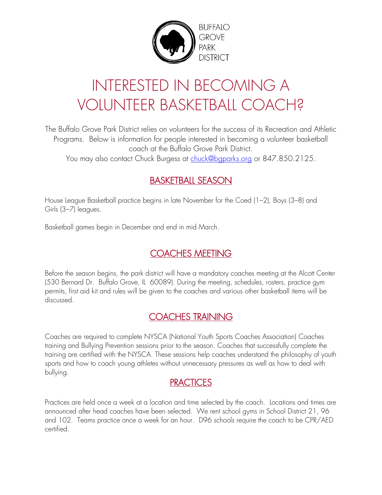

# INTERESTED IN BECOMING A VOLUNTEER BASKETBALL COACH?

The Buffalo Grove Park District relies on volunteers for the success of its Recreation and Athletic Programs. Below is information for people interested in becoming a volunteer basketball coach at the Buffalo Grove Park District.

You may also contact Chuck Burgess at [chuck@bgparks.org](mailto:chuck@bgparks.org) or 847.850.2125.

#### BASKETBALL SEASON

House League Basketball practice begins in late November for the Coed (1–2), Boys (3–8) and Girls (3–7) leagues.

Basketball games begin in December and end in mid March.

### COACHES MEETING

Before the season begins, the park district will have a mandatory coaches meeting at the Alcott Center (530 Bernard Dr. Buffalo Grove, IL 60089). During the meeting, schedules, rosters, practice gym permits, first aid kit and rules will be given to the coaches and various other basketball items will be discussed.

#### COACHES TRAINING

Coaches are required to complete NYSCA (National Youth Sports Coaches Association) Coaches training and Bullying Prevention sessions prior to the season. Coaches that successfully complete the training are certified with the NYSCA. These sessions help coaches understand the philosophy of youth sports and how to coach young athletes without unnecessary pressures as well as how to deal with bullying.

#### **PRACTICES**

Practices are held once a week at a location and time selected by the coach. Locations and times are announced after head coaches have been selected. We rent school gyms in School District 21, 96 and 102. Teams practice once a week for an hour. D96 schools require the coach to be CPR/AED certified.